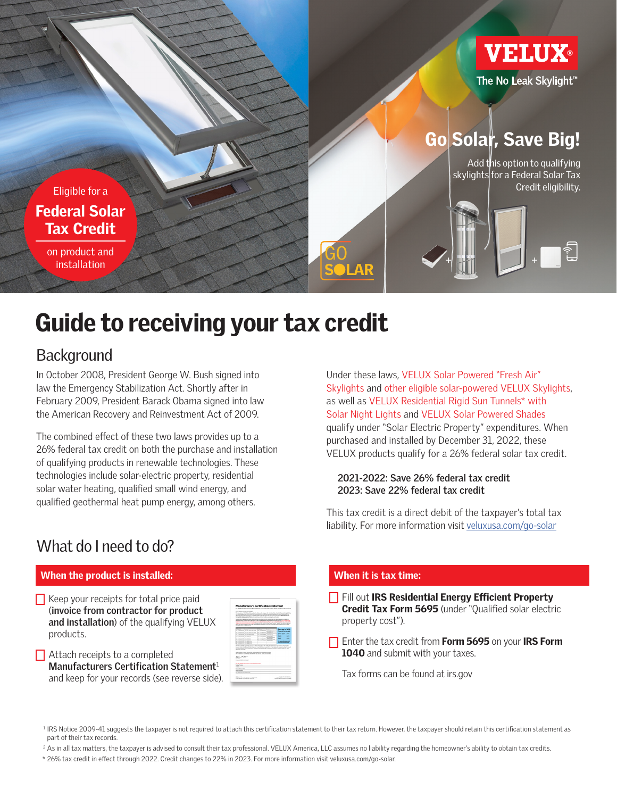

## Guide to receiving your tax credit

### **Background**

In October 2008, President George W. Bush signed into law the Emergency Stabilization Act. Shortly after in February 2009, President Barack Obama signed into law the American Recovery and Reinvestment Act of 2009.

The combined effect of these two laws provides up to a 26% federal tax credit on both the purchase and installation of qualifying products in renewable technologies. These technologies include solar-electric property, residential solar water heating, qualified small wind energy, and qualified geothermal heat pump energy, among others.

Under these laws, VELUX Solar Powered "Fresh Air" Skylights and other eligible solar-powered VELUX Skylights, as well as VELUX Residential Rigid Sun Tunnels\* with Solar Night Lights and VELUX Solar Powered Shades qualify under "Solar Electric Property" expenditures. When purchased and installed by December 31, 2022, these VELUX products qualify for a 26% federal solar tax credit.

#### **2021-2022: Save 26% federal tax credit 2023: Save 22% federal tax credit**

This tax credit is a direct debit of the taxpayer's total tax liability. For more information visit veluxusa.com/go-solar

 $\Box$  Fill out IRS Residential Energy Efficient Property Credit Tax Form 5695 (under "Qualified solar electric

## What do I need to do?

#### When the product is installed: When it is tax time:

 $\Box$  Keep your receipts for total price paid (**invoice from contractor for product and installation**) of the qualifying VELUX products.

|                                                                              | With America's late down argum                                                                                                                                                                                                                                                                                                                                                                                  |                     |                                                                                                  |                                                         |             |
|------------------------------------------------------------------------------|-----------------------------------------------------------------------------------------------------------------------------------------------------------------------------------------------------------------------------------------------------------------------------------------------------------------------------------------------------------------------------------------------------------------|---------------------|--------------------------------------------------------------------------------------------------|---------------------------------------------------------|-------------|
|                                                                              | The Manufacturer's Contribution Nationwell carter rebut game by a company for an Russian tod and an GM 200 products registe for the<br>to nelly definite to bacturize on enforcement and risk to a subject to aldehold prominent<br>but the box 10 particularly \$2 p.m. top 4. Duty completely and hands of \$2.00 percent of<br>To the SIRK Sciences III (Phill a factory) of children and country to combine |                     |                                                                                                  |                                                         |             |
| <b><i><u>SALES AND</u></i></b>                                               | Manufacturers and a factor attractor for surface, the district Manufacturers of the annual factor<br>both distance Manufacturers and authority and distances to a subsequently below that an excellence                                                                                                                                                                                                         |                     | <b>No de los de alfa circa de condiciones de circa de alfa circa del Monte de Alega de circa</b> |                                                         |             |
| Senate Security, N. 2015 a facility                                          | and with district between the problem of the first problem. The first field of the fighter and the first<br>The Neckel and the antique can financibilities entails and administration in the council ARP                                                                                                                                                                                                        |                     |                                                                                                  |                                                         |             |
| <b>COLOR</b>                                                                 | $\overline{\phantom{a}}$                                                                                                                                                                                                                                                                                                                                                                                        | _                   | $\sim$                                                                                           |                                                         |             |
|                                                                              | To chandledge The New York News                                                                                                                                                                                                                                                                                                                                                                                 | -----               | <b>State Street</b><br><b>COLOR</b>                                                              | <b>Sauce up to 30%</b><br><b>Endorse from condition</b> |             |
|                                                                              | of the move house processing                                                                                                                                                                                                                                                                                                                                                                                    | -----               | <b>Grand Street</b><br><b>CONTRACTOR</b>                                                         |                                                         |             |
|                                                                              | of an every locate concer-                                                                                                                                                                                                                                                                                                                                                                                      | -----               | <b>SALES</b><br><b>Section Ave</b>                                                               | 2009-2019                                               | <b>SYNN</b> |
| <b>RE-Also Bullets</b> , The bulleting                                       |                                                                                                                                                                                                                                                                                                                                                                                                                 | Tel: al con changes | to and if fare<br>14.101                                                                         | 2020                                                    | <b>SAA</b>  |
| <b>St. Ave. But all The business</b>                                         |                                                                                                                                                                                                                                                                                                                                                                                                                 | <b>Contract</b>     | <b>Charles of Three</b><br><b>ALCOHOL</b>                                                        | <b>SERVICE</b>                                          | <b>STAL</b> |
| <b>CARDINAL TALIANCE</b>                                                     |                                                                                                                                                                                                                                                                                                                                                                                                                 | ------              | <b>Channel of Three</b>                                                                          |                                                         |             |
|                                                                              |                                                                                                                                                                                                                                                                                                                                                                                                                 |                     |                                                                                                  | for more information shall<br>------                    |             |
|                                                                              |                                                                                                                                                                                                                                                                                                                                                                                                                 |                     |                                                                                                  |                                                         |             |
|                                                                              | \$5.000 a \$15.00 percent the increase and procedure distribution of the control to be in order. However, the                                                                                                                                                                                                                                                                                                   |                     |                                                                                                  |                                                         |             |
| W. Car Writer, The Millers Co.<br><b>MARINE RESERVE</b><br>Manufact and down | the contract state of the contract of the contract in a state state decoration of the contract of the contract<br>the Second come. Work America and approve to hands expertise the homesters with the state for courts, the more<br>Total academ of school duties full than assigned for refricultant duty part.<br>particular land of an interactions and lated. So both an firm council and constitu-         |                     |                                                                                                  |                                                         |             |
| The Ribert<br><b>Grass</b><br><b>Deader</b> All of Associate                 |                                                                                                                                                                                                                                                                                                                                                                                                                 |                     |                                                                                                  |                                                         |             |
|                                                                              | American Museum and Constitution                                                                                                                                                                                                                                                                                                                                                                                |                     |                                                                                                  |                                                         |             |
|                                                                              |                                                                                                                                                                                                                                                                                                                                                                                                                 |                     |                                                                                                  |                                                         |             |
| <b><i><u>Report Form</u></i></b><br>--                                       |                                                                                                                                                                                                                                                                                                                                                                                                                 |                     |                                                                                                  |                                                         |             |
|                                                                              |                                                                                                                                                                                                                                                                                                                                                                                                                 |                     |                                                                                                  |                                                         |             |
| fax and boarded<br><b>Sales Caracterized</b>                                 |                                                                                                                                                                                                                                                                                                                                                                                                                 |                     |                                                                                                  |                                                         |             |

 $\Box$  Attach receipts to a completed **Manufacturers Certification Statement**<sup>1</sup> and keep for your records (see reverse side).

#### $\Box$  Enter the tax credit from Form 5695 on your IRS Form 1040 and submit with your taxes.

Tax forms can be found at irs.gov

property cost").

<sup>1</sup> IRS Notice 2009-41 suggests the taxpayer is not required to attach this certification statement to their tax return. However, the taxpayer should retain this certification statement as part of their tax records.

<sup>2</sup> As in all tax matters, the taxpayer is advised to consult their tax professional. VELUX America, LLC assumes no liability regarding the homeowner's ability to obtain tax credits.

\* 26% tax credit in effect through 2022. Credit changes to 22% in 2023. For more information visit veluxusa.com/go-solar.